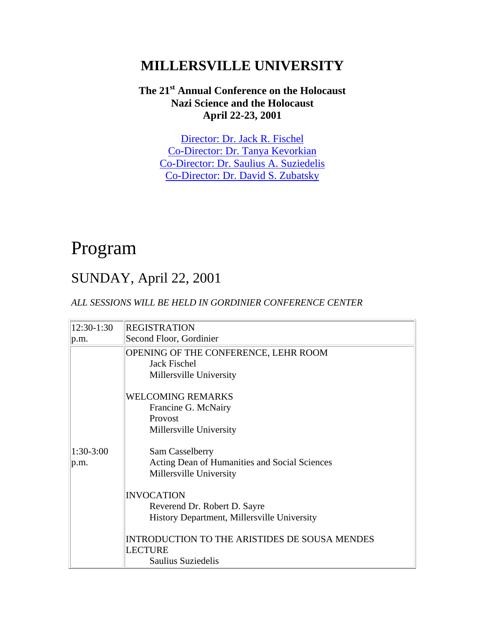## **MILLERSVILLE UNIVERSITY**

#### **The 21st Annual Conference on the Holocaust Nazi Science and the Holocaust April 22-23, 2001**

[Director: Dr. Jack R. Fischel](mailto:Jack.Fischel@millersville.edu)  [Co-Director: Dr. Tanya Kevorkian](mailto:Tanya.Kevorkian@millersville.edu)  [Co-Director: Dr. Saulius A. Suziedelis](mailto:saulius.suziedelis@millersville.edu) [Co-Director: Dr. David S. Zubatsky](mailto:david.zubatsky@millersville.edu)

# Program

### SUNDAY, April 22, 2001

#### *ALL SESSIONS WILL BE HELD IN GORDINIER CONFERENCE CENTER*

| 12:30-1:30  | <b>REGISTRATION</b>                                                                    |
|-------------|----------------------------------------------------------------------------------------|
| p.m.        | Second Floor, Gordinier                                                                |
|             | OPENING OF THE CONFERENCE, LEHR ROOM<br><b>Jack Fischel</b><br>Millersville University |
|             | <b>WELCOMING REMARKS</b>                                                               |
|             | Francine G. McNairy                                                                    |
|             | Provost                                                                                |
|             | Millersville University                                                                |
| $1:30-3:00$ | Sam Casselberry                                                                        |
| p.m.        | Acting Dean of Humanities and Social Sciences                                          |
|             | Millersville University                                                                |
|             | <b>INVOCATION</b>                                                                      |
|             | Reverend Dr. Robert D. Sayre                                                           |
|             | History Department, Millersville University                                            |
|             | INTRODUCTION TO THE ARISTIDES DE SOUSA MENDES<br><b>LECTURE</b>                        |
|             | Saulius Suziedelis                                                                     |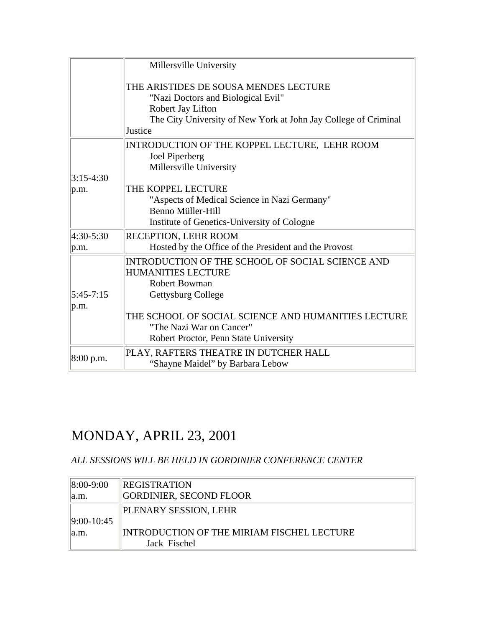|              | Millersville University                                                                                                                                                        |
|--------------|--------------------------------------------------------------------------------------------------------------------------------------------------------------------------------|
|              | THE ARISTIDES DE SOUSA MENDES LECTURE<br>"Nazi Doctors and Biological Evil"<br>Robert Jay Lifton<br>The City University of New York at John Jay College of Criminal<br>Justice |
|              | INTRODUCTION OF THE KOPPEL LECTURE, LEHR ROOM                                                                                                                                  |
|              | Joel Piperberg<br>Millersville University                                                                                                                                      |
| $3:15-4:30$  |                                                                                                                                                                                |
| p.m.         | THE KOPPEL LECTURE                                                                                                                                                             |
|              | "Aspects of Medical Science in Nazi Germany"                                                                                                                                   |
|              | <b>Benno Müller-Hill</b>                                                                                                                                                       |
|              | Institute of Genetics-University of Cologne                                                                                                                                    |
| $ 4:30-5:30$ | <b>RECEPTION, LEHR ROOM</b>                                                                                                                                                    |
| p.m.         | Hosted by the Office of the President and the Provost                                                                                                                          |
|              | INTRODUCTION OF THE SCHOOL OF SOCIAL SCIENCE AND                                                                                                                               |
|              | <b>HUMANITIES LECTURE</b>                                                                                                                                                      |
|              | <b>Robert Bowman</b>                                                                                                                                                           |
| $5:45-7:15$  | Gettysburg College                                                                                                                                                             |
| p.m.         |                                                                                                                                                                                |
|              | THE SCHOOL OF SOCIAL SCIENCE AND HUMANITIES LECTURE                                                                                                                            |
|              | "The Nazi War on Cancer"                                                                                                                                                       |
|              | Robert Proctor, Penn State University                                                                                                                                          |
| 8:00 p.m.    | PLAY, RAFTERS THEATRE IN DUTCHER HALL                                                                                                                                          |
|              | "Shayne Maidel" by Barbara Lebow                                                                                                                                               |

# MONDAY, APRIL 23, 2001

#### *ALL SESSIONS WILL BE HELD IN GORDINIER CONFERENCE CENTER*

| $ 8:00 - 9:00 $ | <b>REGISTRATION</b>                        |
|-----------------|--------------------------------------------|
| a.m.            | GORDINIER, SECOND FLOOR                    |
|                 | PLENARY SESSION, LEHR                      |
| $ 9:00-10:45$   |                                            |
| a.m.            | INTRODUCTION OF THE MIRIAM FISCHEL LECTURE |
|                 | Jack Fischel                               |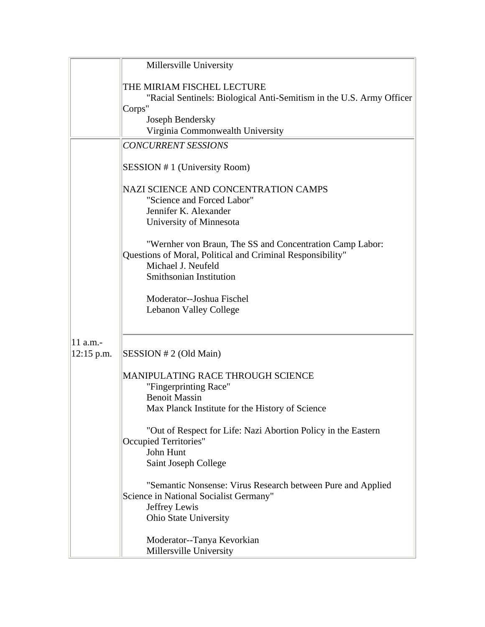|              | Millersville University                                                                                                                                                                                                                                                                                                                                                                                                                                                                          |
|--------------|--------------------------------------------------------------------------------------------------------------------------------------------------------------------------------------------------------------------------------------------------------------------------------------------------------------------------------------------------------------------------------------------------------------------------------------------------------------------------------------------------|
|              |                                                                                                                                                                                                                                                                                                                                                                                                                                                                                                  |
|              | THE MIRIAM FISCHEL LECTURE                                                                                                                                                                                                                                                                                                                                                                                                                                                                       |
|              | "Racial Sentinels: Biological Anti-Semitism in the U.S. Army Officer                                                                                                                                                                                                                                                                                                                                                                                                                             |
|              | Corps"                                                                                                                                                                                                                                                                                                                                                                                                                                                                                           |
|              | Joseph Bendersky                                                                                                                                                                                                                                                                                                                                                                                                                                                                                 |
|              | Virginia Commonwealth University                                                                                                                                                                                                                                                                                                                                                                                                                                                                 |
|              | <b>CONCURRENT SESSIONS</b>                                                                                                                                                                                                                                                                                                                                                                                                                                                                       |
|              | SESSION #1 (University Room)                                                                                                                                                                                                                                                                                                                                                                                                                                                                     |
|              |                                                                                                                                                                                                                                                                                                                                                                                                                                                                                                  |
|              | "Science and Forced Labor"                                                                                                                                                                                                                                                                                                                                                                                                                                                                       |
|              | Jennifer K. Alexander                                                                                                                                                                                                                                                                                                                                                                                                                                                                            |
|              | University of Minnesota                                                                                                                                                                                                                                                                                                                                                                                                                                                                          |
|              |                                                                                                                                                                                                                                                                                                                                                                                                                                                                                                  |
|              |                                                                                                                                                                                                                                                                                                                                                                                                                                                                                                  |
|              |                                                                                                                                                                                                                                                                                                                                                                                                                                                                                                  |
|              |                                                                                                                                                                                                                                                                                                                                                                                                                                                                                                  |
|              |                                                                                                                                                                                                                                                                                                                                                                                                                                                                                                  |
|              | Moderator--Joshua Fischel                                                                                                                                                                                                                                                                                                                                                                                                                                                                        |
|              |                                                                                                                                                                                                                                                                                                                                                                                                                                                                                                  |
|              |                                                                                                                                                                                                                                                                                                                                                                                                                                                                                                  |
| 11 a.m.-     |                                                                                                                                                                                                                                                                                                                                                                                                                                                                                                  |
| $12:15$ p.m. | SESSION # 2 (Old Main)                                                                                                                                                                                                                                                                                                                                                                                                                                                                           |
|              |                                                                                                                                                                                                                                                                                                                                                                                                                                                                                                  |
|              |                                                                                                                                                                                                                                                                                                                                                                                                                                                                                                  |
|              | <b>Benoit Massin</b>                                                                                                                                                                                                                                                                                                                                                                                                                                                                             |
|              | Max Planck Institute for the History of Science                                                                                                                                                                                                                                                                                                                                                                                                                                                  |
|              |                                                                                                                                                                                                                                                                                                                                                                                                                                                                                                  |
|              | Occupied Territories"                                                                                                                                                                                                                                                                                                                                                                                                                                                                            |
|              | John Hunt                                                                                                                                                                                                                                                                                                                                                                                                                                                                                        |
|              | Saint Joseph College                                                                                                                                                                                                                                                                                                                                                                                                                                                                             |
|              |                                                                                                                                                                                                                                                                                                                                                                                                                                                                                                  |
|              | Science in National Socialist Germany"                                                                                                                                                                                                                                                                                                                                                                                                                                                           |
|              | Jeffrey Lewis                                                                                                                                                                                                                                                                                                                                                                                                                                                                                    |
|              | Ohio State University                                                                                                                                                                                                                                                                                                                                                                                                                                                                            |
|              |                                                                                                                                                                                                                                                                                                                                                                                                                                                                                                  |
|              |                                                                                                                                                                                                                                                                                                                                                                                                                                                                                                  |
|              | NAZI SCIENCE AND CONCENTRATION CAMPS<br>"Wernher von Braun, The SS and Concentration Camp Labor:<br>Questions of Moral, Political and Criminal Responsibility"<br>Michael J. Neufeld<br>Smithsonian Institution<br>Lebanon Valley College<br>MANIPULATING RACE THROUGH SCIENCE<br>"Fingerprinting Race"<br>"Out of Respect for Life: Nazi Abortion Policy in the Eastern<br>"Semantic Nonsense: Virus Research between Pure and Applied<br>Moderator--Tanya Kevorkian<br>Millersville University |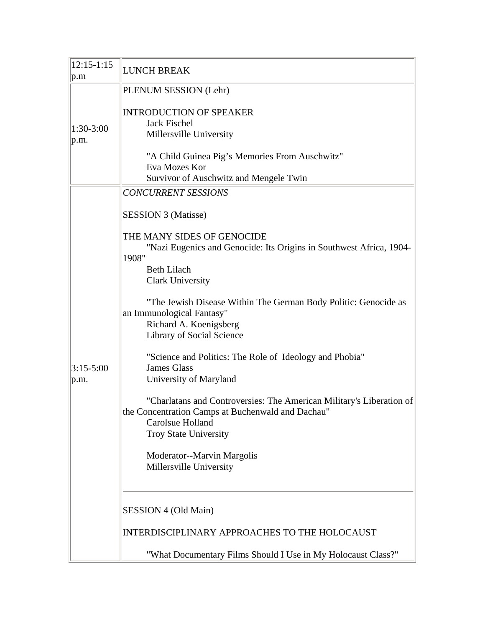| $12:15 - 1:15$<br> p.m | LUNCH BREAK                                                                                                                                                                   |
|------------------------|-------------------------------------------------------------------------------------------------------------------------------------------------------------------------------|
| $1:30-3:00$<br> p.m.   | PLENUM SESSION (Lehr)                                                                                                                                                         |
|                        | <b>INTRODUCTION OF SPEAKER</b><br>Jack Fischel<br>Millersville University                                                                                                     |
|                        | "A Child Guinea Pig's Memories From Auschwitz"<br>Eva Mozes Kor<br>Survivor of Auschwitz and Mengele Twin                                                                     |
|                        | <b>CONCURRENT SESSIONS</b>                                                                                                                                                    |
| $3:15-5:00$<br> p.m.   | <b>SESSION 3 (Matisse)</b>                                                                                                                                                    |
|                        | THE MANY SIDES OF GENOCIDE<br>"Nazi Eugenics and Genocide: Its Origins in Southwest Africa, 1904-<br>1908"<br><b>Beth Lilach</b><br><b>Clark University</b>                   |
|                        | "The Jewish Disease Within The German Body Politic: Genocide as<br>an Immunological Fantasy"<br>Richard A. Koenigsberg<br>Library of Social Science                           |
|                        | "Science and Politics: The Role of Ideology and Phobia"<br><b>James Glass</b><br>University of Maryland                                                                       |
|                        | "Charlatans and Controversies: The American Military's Liberation of<br>the Concentration Camps at Buchenwald and Dachau"<br>Carolsue Holland<br><b>Troy State University</b> |
|                        | Moderator--Marvin Margolis<br>Millersville University                                                                                                                         |
|                        | SESSION 4 (Old Main)                                                                                                                                                          |
|                        | INTERDISCIPLINARY APPROACHES TO THE HOLOCAUST                                                                                                                                 |
|                        | "What Documentary Films Should I Use in My Holocaust Class?"                                                                                                                  |